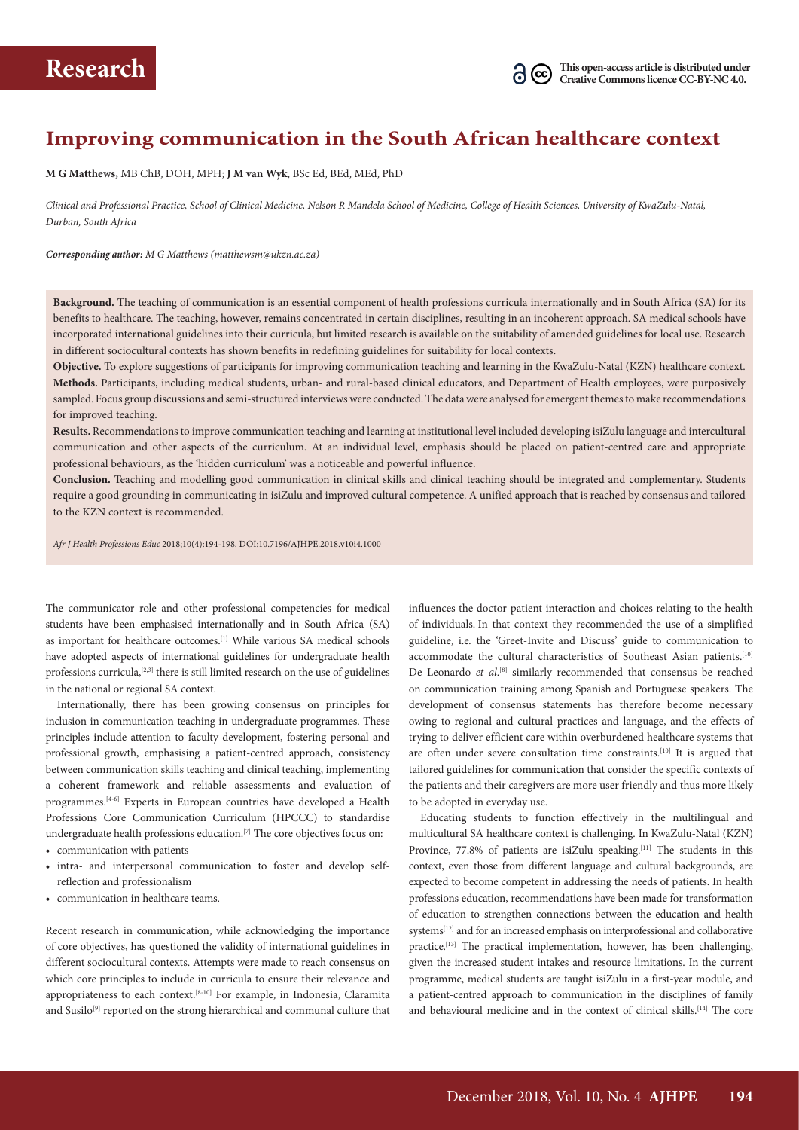### **Improving communication in the South African healthcare context**

**M G Matthews,** MB ChB, DOH, MPH; **J M van Wyk**, BSc Ed, BEd, MEd, PhD

*Clinical and Professional Practice, School of Clinical Medicine, Nelson R Mandela School of Medicine, College of Health Sciences, University of KwaZulu-Natal, Durban, South Africa*

#### *Corresponding author: M G Matthews (matthewsm@ukzn.ac.za)*

**Background.** The teaching of communication is an essential component of health professions curricula internationally and in South Africa (SA) for its benefits to healthcare. The teaching, however, remains concentrated in certain disciplines, resulting in an incoherent approach. SA medical schools have incorporated international guidelines into their curricula, but limited research is available on the suitability of amended guidelines for local use. Research in different sociocultural contexts has shown benefits in redefining guidelines for suitability for local contexts.

**Objective.** To explore suggestions of participants for improving communication teaching and learning in the KwaZulu-Natal (KZN) healthcare context. **Methods.** Participants, including medical students, urban- and rural-based clinical educators, and Department of Health employees, were purposively sampled. Focus group discussions and semi-structured interviews were conducted. The data were analysed for emergent themes to make recommendations for improved teaching.

**Results.** Recommendations to improve communication teaching and learning at institutional level included developing isiZulu language and intercultural communication and other aspects of the curriculum. At an individual level, emphasis should be placed on patient-centred care and appropriate professional behaviours, as the 'hidden curriculum' was a noticeable and powerful influence.

**Conclusion.** Teaching and modelling good communication in clinical skills and clinical teaching should be integrated and complementary. Students require a good grounding in communicating in isiZulu and improved cultural competence. A unified approach that is reached by consensus and tailored to the KZN context is recommended.

*Afr J Health Professions Educ* 2018;10(4):194-198. DOI:10.7196/AJHPE.2018.v10i4.1000

The communicator role and other professional competencies for medical students have been emphasised internationally and in South Africa (SA) as important for healthcare outcomes.[1] While various SA medical schools have adopted aspects of international guidelines for undergraduate health professions curricula,<sup>[2,3]</sup> there is still limited research on the use of guidelines in the national or regional SA context.

Internationally, there has been growing consensus on principles for inclusion in communication teaching in undergraduate programmes. These principles include attention to faculty development, fostering personal and professional growth, emphasising a patient-centred approach, consistency between communication skills teaching and clinical teaching, implementing a coherent framework and reliable assessments and evaluation of programmes.[4-6] Experts in European countries have developed a Health Professions Core Communication Curriculum (HPCCC) to standardise undergraduate health professions education.[7] The core objectives focus on:

- communication with patients
- intra- and interpersonal communication to foster and develop selfreflection and professionalism
- communication in healthcare teams.

Recent research in communication, while acknowledging the importance of core objectives, has questioned the validity of international guidelines in different sociocultural contexts. Attempts were made to reach consensus on which core principles to include in curricula to ensure their relevance and appropriateness to each context.[8-10] For example, in Indonesia, Claramita and Susilo<sup>[9]</sup> reported on the strong hierarchical and communal culture that influences the doctor-patient interaction and choices relating to the health of individuals. In that context they recommended the use of a simplified guideline, i.e*.* the 'Greet-Invite and Discuss' guide to communication to accommodate the cultural characteristics of Southeast Asian patients.<sup>[10]</sup> De Leonardo et al.<sup>[8]</sup> similarly recommended that consensus be reached on communication training among Spanish and Portuguese speakers. The development of consensus statements has therefore become necessary owing to regional and cultural practices and language, and the effects of trying to deliver efficient care within overburdened healthcare systems that are often under severe consultation time constraints.[10] It is argued that tailored guidelines for communication that consider the specific contexts of the patients and their caregivers are more user friendly and thus more likely to be adopted in everyday use.

Educating students to function effectively in the multilingual and multicultural SA healthcare context is challenging. In KwaZulu-Natal (KZN) Province, 77.8% of patients are isiZulu speaking.<sup>[11]</sup> The students in this context, even those from different language and cultural backgrounds, are expected to become competent in addressing the needs of patients. In health professions education, recommendations have been made for transformation of education to strengthen connections between the education and health systems<sup>[12]</sup> and for an increased emphasis on interprofessional and collaborative practice.[13] The practical implementation, however, has been challenging, given the increased student intakes and resource limitations. In the current programme, medical students are taught isiZulu in a first-year module, and a patient-centred approach to communication in the disciplines of family and behavioural medicine and in the context of clinical skills.<sup>[14]</sup> The core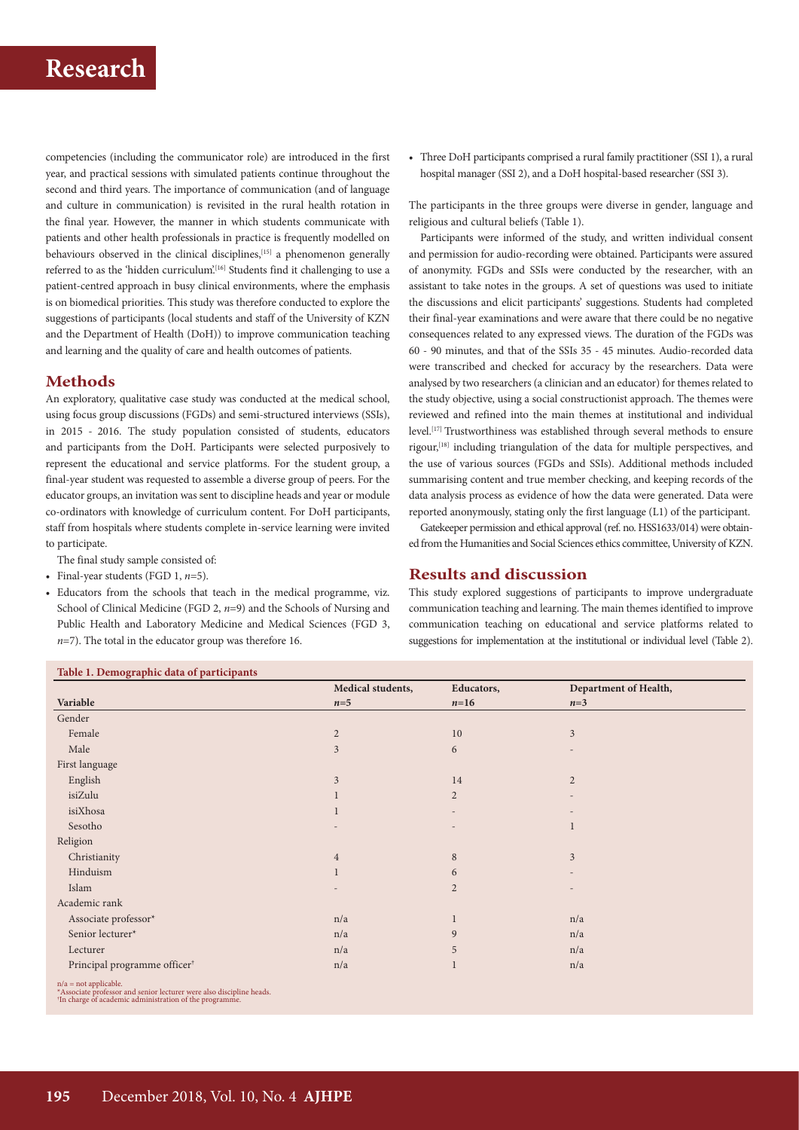competencies (including the communicator role) are introduced in the first year, and practical sessions with simulated patients continue throughout the second and third years. The importance of communication (and of language and culture in communication) is revisited in the rural health rotation in the final year. However, the manner in which students communicate with patients and other health professionals in practice is frequently modelled on behaviours observed in the clinical disciplines, <a>[15]</a> a phenomenon generally referred to as the 'hidden curriculum'.<sup>[16]</sup> Students find it challenging to use a patient-centred approach in busy clinical environments, where the emphasis is on biomedical priorities. This study was therefore conducted to explore the suggestions of participants (local students and staff of the University of KZN and the Department of Health (DoH)) to improve communication teaching and learning and the quality of care and health outcomes of patients.

### **Methods**

An exploratory, qualitative case study was conducted at the medical school, using focus group discussions (FGDs) and semi-structured interviews (SSIs), in 2015 - 2016. The study population consisted of students, educators and participants from the DoH. Participants were selected purposively to represent the educational and service platforms. For the student group, a final-year student was requested to assemble a diverse group of peers. For the educator groups, an invitation was sent to discipline heads and year or module co-ordinators with knowledge of curriculum content. For DoH participants, staff from hospitals where students complete in-service learning were invited to participate.

- The final study sample consisted of:
- Final-year students (FGD 1, *n*=5).
- Educators from the schools that teach in the medical programme, viz. School of Clinical Medicine (FGD 2,  $n=9$ ) and the Schools of Nursing and Public Health and Laboratory Medicine and Medical Sciences (FGD 3, *n*=7). The total in the educator group was therefore 16.

### • Three DoH participants comprised a rural family practitioner (SSI 1), a rural hospital manager (SSI 2), and a DoH hospital-based researcher (SSI 3).

The participants in the three groups were diverse in gender, language and religious and cultural beliefs (Table 1).

Participants were informed of the study, and written individual consent and permission for audio-recording were obtained. Participants were assured of anonymity. FGDs and SSIs were conducted by the researcher, with an assistant to take notes in the groups. A set of questions was used to initiate the discussions and elicit participants' suggestions. Students had completed their final-year examinations and were aware that there could be no negative consequences related to any expressed views. The duration of the FGDs was 60 - 90 minutes, and that of the SSIs 35 - 45 minutes. Audio-recorded data were transcribed and checked for accuracy by the researchers. Data were analysed by two researchers (a clinician and an educator) for themes related to the study objective, using a social constructionist approach. The themes were reviewed and refined into the main themes at institutional and individual level.<sup>[17]</sup> Trustworthiness was established through several methods to ensure rigour,[18] including triangulation of the data for multiple perspectives, and the use of various sources (FGDs and SSIs). Additional methods included summarising content and true member checking, and keeping records of the data analysis process as evidence of how the data were generated. Data were reported anonymously, stating only the first language (L1) of the participant.

Gatekeeper permission and ethical approval (ref. no. HSS1633/014) were obtained from the Humanities and Social Sciences ethics committee, University of KZN.

### **Results and discussion**

This study explored suggestions of participants to improve undergraduate communication teaching and learning. The main themes identified to improve communication teaching on educational and service platforms related to suggestions for implementation at the institutional or individual level (Table 2).

|                                          | Medical students, | Educators,     | Department of Health, |
|------------------------------------------|-------------------|----------------|-----------------------|
| Variable                                 | $n=5$             | $n=16$         | $n=3$                 |
| Gender                                   |                   |                |                       |
| Female                                   | $\overline{2}$    | 10             | 3                     |
| Male                                     | 3                 | 6              |                       |
| First language                           |                   |                |                       |
| English                                  | $\mathfrak{Z}$    | 14             | $\overline{2}$        |
| isiZulu                                  |                   | $\overline{2}$ |                       |
| isiXhosa                                 | $\mathbf{1}$      |                |                       |
| Sesotho                                  |                   |                |                       |
| Religion                                 |                   |                |                       |
| Christianity                             | $\overline{4}$    | $\,8\,$        | 3                     |
| Hinduism                                 | $\mathbf{1}$      | 6              |                       |
| Islam                                    |                   | $\overline{2}$ |                       |
| Academic rank                            |                   |                |                       |
| Associate professor*                     | n/a               | 1              | n/a                   |
| Senior lecturer*                         | n/a               | 9              | n/a                   |
| Lecturer                                 | n/a               | 5              | n/a                   |
| Principal programme officer <sup>†</sup> | n/a               |                | n/a                   |

\*Associate professor and senior lecturer were also discipline heads. † In charge of academic administration of the programme.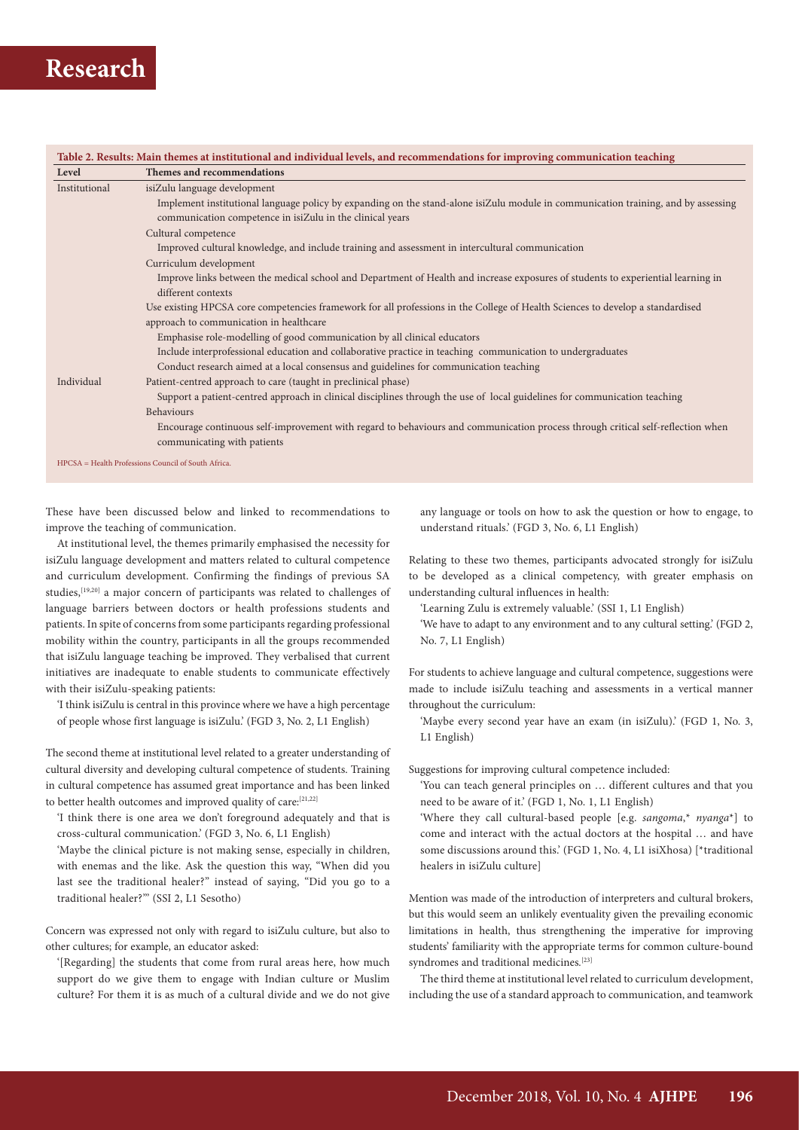| Level         | Themes and recommendations                                                                                                                                                                      |
|---------------|-------------------------------------------------------------------------------------------------------------------------------------------------------------------------------------------------|
| Institutional | isiZulu language development                                                                                                                                                                    |
|               | Implement institutional language policy by expanding on the stand-alone isiZulu module in communication training, and by assessing<br>communication competence in isiZulu in the clinical years |
|               | Cultural competence                                                                                                                                                                             |
|               | Improved cultural knowledge, and include training and assessment in intercultural communication                                                                                                 |
|               | Curriculum development                                                                                                                                                                          |
|               | Improve links between the medical school and Department of Health and increase exposures of students to experiential learning in<br>different contexts                                          |
|               | Use existing HPCSA core competencies framework for all professions in the College of Health Sciences to develop a standardised                                                                  |
|               | approach to communication in healthcare                                                                                                                                                         |
|               | Emphasise role-modelling of good communication by all clinical educators                                                                                                                        |
|               | Include interprofessional education and collaborative practice in teaching communication to undergraduates                                                                                      |
|               | Conduct research aimed at a local consensus and guidelines for communication teaching                                                                                                           |
| Individual    | Patient-centred approach to care (taught in preclinical phase)                                                                                                                                  |
|               | Support a patient-centred approach in clinical disciplines through the use of local guidelines for communication teaching                                                                       |
|               | <b>Behaviours</b>                                                                                                                                                                               |
|               | Encourage continuous self-improvement with regard to behaviours and communication process through critical self-reflection when<br>communicating with patients                                  |

These have been discussed below and linked to recommendations to improve the teaching of communication.

At institutional level, the themes primarily emphasised the necessity for isiZulu language development and matters related to cultural competence and curriculum development. Confirming the findings of previous SA studies,[19,20] a major concern of participants was related to challenges of language barriers between doctors or health professions students and patients. In spite of concerns from some participants regarding professional mobility within the country, participants in all the groups recommended that isiZulu language teaching be improved. They verbalised that current initiatives are inadequate to enable students to communicate effectively with their isiZulu-speaking patients:

'I think isiZulu is central in this province where we have a high percentage of people whose first language is isiZulu.' (FGD 3, No. 2, L1 English)

The second theme at institutional level related to a greater understanding of cultural diversity and developing cultural competence of students. Training in cultural competence has assumed great importance and has been linked to better health outcomes and improved quality of care:<sup>[21,22]</sup>

'I think there is one area we don't foreground adequately and that is cross-cultural communication.' (FGD 3, No. 6, L1 English)

'Maybe the clinical picture is not making sense, especially in children, with enemas and the like. Ask the question this way, "When did you last see the traditional healer?" instead of saying, "Did you go to a traditional healer?"' (SSI 2, L1 Sesotho)

Concern was expressed not only with regard to isiZulu culture, but also to other cultures; for example, an educator asked:

'[Regarding] the students that come from rural areas here, how much support do we give them to engage with Indian culture or Muslim culture? For them it is as much of a cultural divide and we do not give

any language or tools on how to ask the question or how to engage, to understand rituals.' (FGD 3, No. 6, L1 English)

Relating to these two themes, participants advocated strongly for isiZulu to be developed as a clinical competency, with greater emphasis on understanding cultural influences in health:

'Learning Zulu is extremely valuable.' (SSI 1, L1 English)

'We have to adapt to any environment and to any cultural setting.' (FGD 2, No. 7, L1 English)

For students to achieve language and cultural competence, suggestions were made to include isiZulu teaching and assessments in a vertical manner throughout the curriculum:

'Maybe every second year have an exam (in isiZulu).' (FGD 1, No. 3, L1 English)

Suggestions for improving cultural competence included:

- 'You can teach general principles on … different cultures and that you need to be aware of it.' (FGD 1, No. 1, L1 English)
- 'Where they call cultural-based people [e.g. *sangoma*,\* *nyanga*\*] to come and interact with the actual doctors at the hospital … and have some discussions around this.' (FGD 1, No. 4, L1 isiXhosa) [\*traditional healers in isiZulu culture]

Mention was made of the introduction of interpreters and cultural brokers, but this would seem an unlikely eventuality given the prevailing economic limitations in health, thus strengthening the imperative for improving students' familiarity with the appropriate terms for common culture-bound syndromes and traditional medicines*.* [23]

The third theme at institutional level related to curriculum development, including the use of a standard approach to communication, and teamwork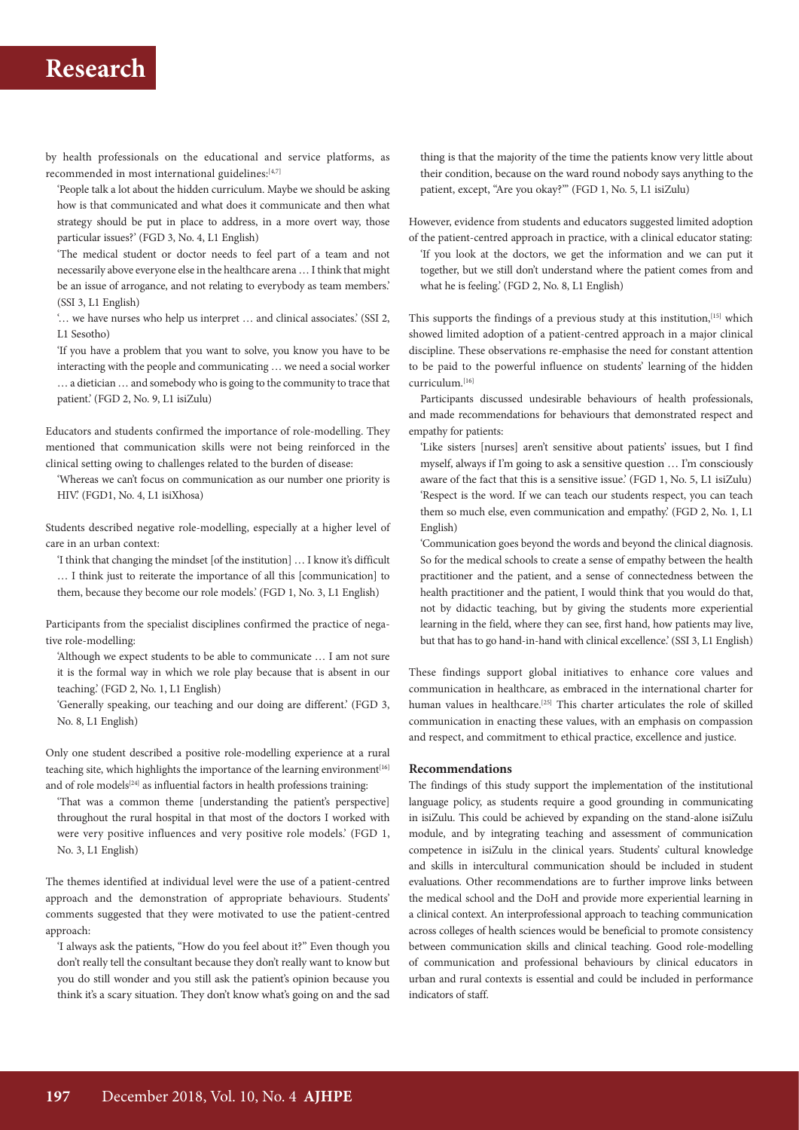by health professionals on the educational and service platforms, as recommended in most international guidelines:[4,7]

'People talk a lot about the hidden curriculum. Maybe we should be asking how is that communicated and what does it communicate and then what strategy should be put in place to address, in a more overt way, those particular issues?' (FGD 3, No. 4, L1 English)

'The medical student or doctor needs to feel part of a team and not necessarily above everyone else in the healthcare arena … I think that might be an issue of arrogance, and not relating to everybody as team members.' (SSI 3, L1 English)

'… we have nurses who help us interpret … and clinical associates.' (SSI 2, L1 Sesotho)

'If you have a problem that you want to solve, you know you have to be interacting with the people and communicating … we need a social worker … a dietician … and somebody who is going to the community to trace that patient.' (FGD 2, No. 9, L1 isiZulu)

Educators and students confirmed the importance of role-modelling. They mentioned that communication skills were not being reinforced in the clinical setting owing to challenges related to the burden of disease:

'Whereas we can't focus on communication as our number one priority is HIV.' (FGD1, No. 4, L1 isiXhosa)

Students described negative role-modelling, especially at a higher level of care in an urban context:

'I think that changing the mindset [of the institution] … I know it's difficult … I think just to reiterate the importance of all this [communication] to them, because they become our role models.' (FGD 1, No. 3, L1 English)

Participants from the specialist disciplines confirmed the practice of negative role-modelling:

'Although we expect students to be able to communicate … I am not sure it is the formal way in which we role play because that is absent in our teaching.' (FGD 2, No. 1, L1 English)

'Generally speaking, our teaching and our doing are different.' (FGD 3, No. 8, L1 English)

Only one student described a positive role-modelling experience at a rural teaching site, which highlights the importance of the learning environment<sup>[16]</sup> and of role models<sup>[24]</sup> as influential factors in health professions training:

'That was a common theme [understanding the patient's perspective] throughout the rural hospital in that most of the doctors I worked with were very positive influences and very positive role models.' (FGD 1, No. 3, L1 English)

The themes identified at individual level were the use of a patient-centred approach and the demonstration of appropriate behaviours. Students' comments suggested that they were motivated to use the patient-centred approach:

'I always ask the patients, "How do you feel about it?" Even though you don't really tell the consultant because they don't really want to know but you do still wonder and you still ask the patient's opinion because you think it's a scary situation. They don't know what's going on and the sad

thing is that the majority of the time the patients know very little about their condition, because on the ward round nobody says anything to the patient, except, "Are you okay?"' (FGD 1, No. 5, L1 isiZulu)

However, evidence from students and educators suggested limited adoption of the patient-centred approach in practice, with a clinical educator stating:

'If you look at the doctors, we get the information and we can put it together, but we still don't understand where the patient comes from and what he is feeling.' (FGD 2, No. 8, L1 English)

This supports the findings of a previous study at this institution,<sup>[15]</sup> which showed limited adoption of a patient-centred approach in a major clinical discipline. These observations re-emphasise the need for constant attention to be paid to the powerful influence on students' learning of the hidden curriculum.[16]

Participants discussed undesirable behaviours of health professionals, and made recommendations for behaviours that demonstrated respect and empathy for patients:

'Like sisters [nurses] aren't sensitive about patients' issues, but I find myself, always if I'm going to ask a sensitive question … I'm consciously aware of the fact that this is a sensitive issue.' (FGD 1, No. 5, L1 isiZulu) 'Respect is the word. If we can teach our students respect, you can teach them so much else, even communication and empathy.' (FGD 2, No. 1, L1 English)

'Communication goes beyond the words and beyond the clinical diagnosis. So for the medical schools to create a sense of empathy between the health practitioner and the patient, and a sense of connectedness between the health practitioner and the patient, I would think that you would do that, not by didactic teaching, but by giving the students more experiential learning in the field, where they can see, first hand, how patients may live, but that has to go hand-in-hand with clinical excellence.' (SSI 3, L1 English)

These findings support global initiatives to enhance core values and communication in healthcare, as embraced in the international charter for human values in healthcare.<sup>[25]</sup> This charter articulates the role of skilled communication in enacting these values, with an emphasis on compassion and respect, and commitment to ethical practice, excellence and justice.

#### **Recommendations**

The findings of this study support the implementation of the institutional language policy, as students require a good grounding in communicating in isiZulu. This could be achieved by expanding on the stand-alone isiZulu module, and by integrating teaching and assessment of communication competence in isiZulu in the clinical years. Students' cultural knowledge and skills in intercultural communication should be included in student evaluations. Other recommendations are to further improve links between the medical school and the DoH and provide more experiential learning in a clinical context. An interprofessional approach to teaching communication across colleges of health sciences would be beneficial to promote consistency between communication skills and clinical teaching. Good role-modelling of communication and professional behaviours by clinical educators in urban and rural contexts is essential and could be included in performance indicators of staff.